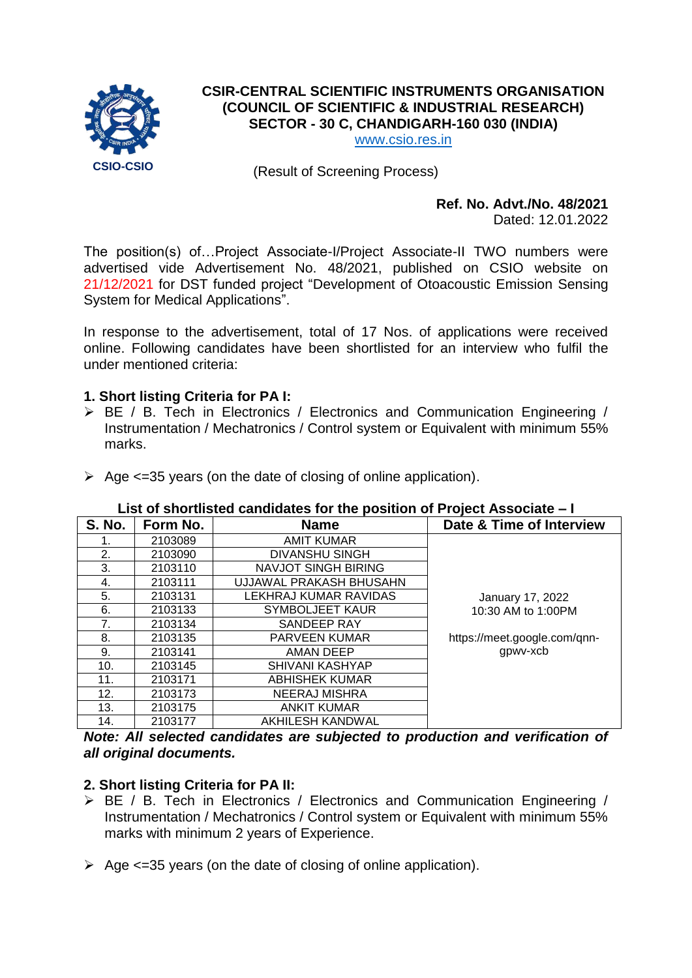

# **CSIR-CENTRAL SCIENTIFIC INSTRUMENTS ORGANISATION (COUNCIL OF SCIENTIFIC & INDUSTRIAL RESEARCH) SECTOR - 30 C, CHANDIGARH-160 030 (INDIA)**

[www.csio.res.in](http://www.csio.res.in/)

(Result of Screening Process)

# **Ref. No. Advt./No. 48/2021**

Dated: 12.01.2022

The position(s) of…Project Associate-I/Project Associate-II TWO numbers were advertised vide Advertisement No. 48/2021, published on CSIO website on 21/12/2021 for DST funded project "Development of Otoacoustic Emission Sensing System for Medical Applications".

In response to the advertisement, total of 17 Nos. of applications were received online. Following candidates have been shortlisted for an interview who fulfil the under mentioned criteria:

### **1. Short listing Criteria for PA I:**

- ▶ BE / B. Tech in Electronics / Electronics and Communication Engineering / Instrumentation / Mechatronics / Control system or Equivalent with minimum 55% marks.
- $\geq$  Age <=35 years (on the date of closing of online application).

#### **List of shortlisted candidates for the position of Project Associate – I**

| <b>S. No.</b> | Form No. | <b>Name</b>             | Date & Time of Interview     |
|---------------|----------|-------------------------|------------------------------|
|               | 2103089  | AMIT KUMAR              |                              |
| 2.            | 2103090  | DIVANSHU SINGH          |                              |
| 3.            | 2103110  | NAVJOT SINGH BIRING     |                              |
| 4.            | 2103111  | UJJAWAL PRAKASH BHUSAHN |                              |
| 5.            | 2103131  | LEKHRAJ KUMAR RAVIDAS   | January 17, 2022             |
| 6.            | 2103133  | <b>SYMBOLJEET KAUR</b>  | 10:30 AM to 1:00PM           |
| 7.            | 2103134  | SANDEEP RAY             |                              |
| 8.            | 2103135  | <b>PARVEEN KUMAR</b>    | https://meet.google.com/qnn- |
| 9.            | 2103141  | AMAN DEEP               | gpwv-xcb                     |
| 10.           | 2103145  | <b>SHIVANI KASHYAP</b>  |                              |
| 11.           | 2103171  | ABHISHEK KUMAR          |                              |
| 12.           | 2103173  | <b>NEERAJ MISHRA</b>    |                              |
| 13.           | 2103175  | <b>ANKIT KUMAR</b>      |                              |
| 14.           | 2103177  | <b>AKHILESH KANDWAL</b> |                              |

*Note: All selected candidates are subjected to production and verification of all original documents.*

## **2. Short listing Criteria for PA II:**

- BE / B. Tech in Electronics / Electronics and Communication Engineering / Instrumentation / Mechatronics / Control system or Equivalent with minimum 55% marks with minimum 2 years of Experience.
- $\geq$  Age <=35 years (on the date of closing of online application).